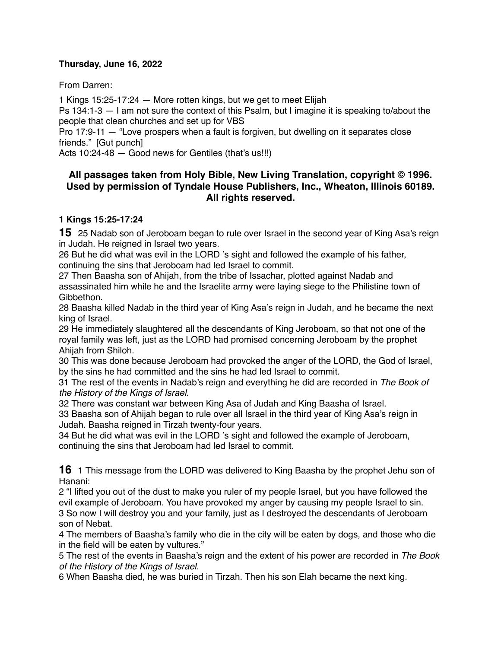# **Thursday, June 16, 2022**

From Darren:

1 Kings 15:25-17:24 — More rotten kings, but we get to meet Elijah

Ps 134:1-3 — I am not sure the context of this Psalm, but I imagine it is speaking to/about the people that clean churches and set up for VBS

Pro 17:9-11 — "Love prospers when a fault is forgiven, but dwelling on it separates close friends." [Gut punch]

Acts 10:24-48 — Good news for Gentiles (that's us!!!)

# **All passages taken from Holy Bible, [New Living Translation](http://www.newlivingtranslation.com/), copyright © 1996. Used by permission of [Tyndale House Publishers](http://tyndale.com/), Inc., Wheaton, Illinois 60189. All rights reserved.**

### **1 Kings 15:25-17:24**

**15** 25 Nadab son of Jeroboam began to rule over Israel in the second year of King Asa's reign in Judah. He reigned in Israel two years.

26 But he did what was evil in the LORD 's sight and followed the example of his father, continuing the sins that Jeroboam had led Israel to commit.

27 Then Baasha son of Ahijah, from the tribe of Issachar, plotted against Nadab and assassinated him while he and the Israelite army were laying siege to the Philistine town of Gibbethon.

28 Baasha killed Nadab in the third year of King Asa's reign in Judah, and he became the next king of Israel.

29 He immediately slaughtered all the descendants of King Jeroboam, so that not one of the royal family was left, just as the LORD had promised concerning Jeroboam by the prophet Ahijah from Shiloh.

30 This was done because Jeroboam had provoked the anger of the LORD, the God of Israel, by the sins he had committed and the sins he had led Israel to commit.

31 The rest of the events in Nadab's reign and everything he did are recorded in *The Book of the History of the Kings of Israel.*

32 There was constant war between King Asa of Judah and King Baasha of Israel.

33 Baasha son of Ahijah began to rule over all Israel in the third year of King Asa's reign in Judah. Baasha reigned in Tirzah twenty-four years.

34 But he did what was evil in the LORD 's sight and followed the example of Jeroboam, continuing the sins that Jeroboam had led Israel to commit.

**16** 1 This message from the LORD was delivered to King Baasha by the prophet Jehu son of Hanani:

2 "I lifted you out of the dust to make you ruler of my people Israel, but you have followed the evil example of Jeroboam. You have provoked my anger by causing my people Israel to sin. 3 So now I will destroy you and your family, just as I destroyed the descendants of Jeroboam son of Nebat.

4 The members of Baasha's family who die in the city will be eaten by dogs, and those who die in the field will be eaten by vultures."

5 The rest of the events in Baasha's reign and the extent of his power are recorded in *The Book of the History of the Kings of Israel.*

6 When Baasha died, he was buried in Tirzah. Then his son Elah became the next king.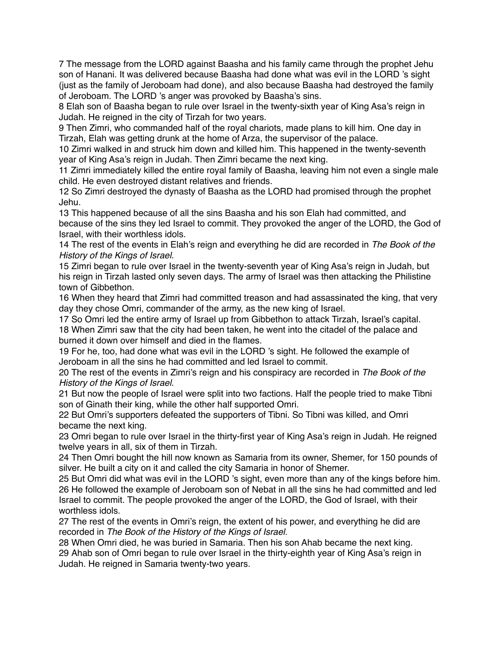7 The message from the LORD against Baasha and his family came through the prophet Jehu son of Hanani. It was delivered because Baasha had done what was evil in the LORD 's sight (just as the family of Jeroboam had done), and also because Baasha had destroyed the family of Jeroboam. The LORD 's anger was provoked by Baasha's sins.

8 Elah son of Baasha began to rule over Israel in the twenty-sixth year of King Asa's reign in Judah. He reigned in the city of Tirzah for two years.

9 Then Zimri, who commanded half of the royal chariots, made plans to kill him. One day in Tirzah, Elah was getting drunk at the home of Arza, the supervisor of the palace.

10 Zimri walked in and struck him down and killed him. This happened in the twenty-seventh year of King Asa's reign in Judah. Then Zimri became the next king.

11 Zimri immediately killed the entire royal family of Baasha, leaving him not even a single male child. He even destroyed distant relatives and friends.

12 So Zimri destroyed the dynasty of Baasha as the LORD had promised through the prophet Jehu.

13 This happened because of all the sins Baasha and his son Elah had committed, and because of the sins they led Israel to commit. They provoked the anger of the LORD, the God of Israel, with their worthless idols.

14 The rest of the events in Elah's reign and everything he did are recorded in *The Book of the History of the Kings of Israel.*

15 Zimri began to rule over Israel in the twenty-seventh year of King Asa's reign in Judah, but his reign in Tirzah lasted only seven days. The army of Israel was then attacking the Philistine town of Gibbethon.

16 When they heard that Zimri had committed treason and had assassinated the king, that very day they chose Omri, commander of the army, as the new king of Israel.

17 So Omri led the entire army of Israel up from Gibbethon to attack Tirzah, Israel's capital. 18 When Zimri saw that the city had been taken, he went into the citadel of the palace and burned it down over himself and died in the flames.

19 For he, too, had done what was evil in the LORD 's sight. He followed the example of Jeroboam in all the sins he had committed and led Israel to commit.

20 The rest of the events in Zimri's reign and his conspiracy are recorded in *The Book of the History of the Kings of Israel.*

21 But now the people of Israel were split into two factions. Half the people tried to make Tibni son of Ginath their king, while the other half supported Omri.

22 But Omri's supporters defeated the supporters of Tibni. So Tibni was killed, and Omri became the next king.

23 Omri began to rule over Israel in the thirty-first year of King Asa's reign in Judah. He reigned twelve years in all, six of them in Tirzah.

24 Then Omri bought the hill now known as Samaria from its owner, Shemer, for 150 pounds of silver. He built a city on it and called the city Samaria in honor of Shemer.

25 But Omri did what was evil in the LORD 's sight, even more than any of the kings before him. 26 He followed the example of Jeroboam son of Nebat in all the sins he had committed and led Israel to commit. The people provoked the anger of the LORD, the God of Israel, with their worthless idols.

27 The rest of the events in Omri's reign, the extent of his power, and everything he did are recorded in *The Book of the History of the Kings of Israel.*

28 When Omri died, he was buried in Samaria. Then his son Ahab became the next king. 29 Ahab son of Omri began to rule over Israel in the thirty-eighth year of King Asa's reign in Judah. He reigned in Samaria twenty-two years.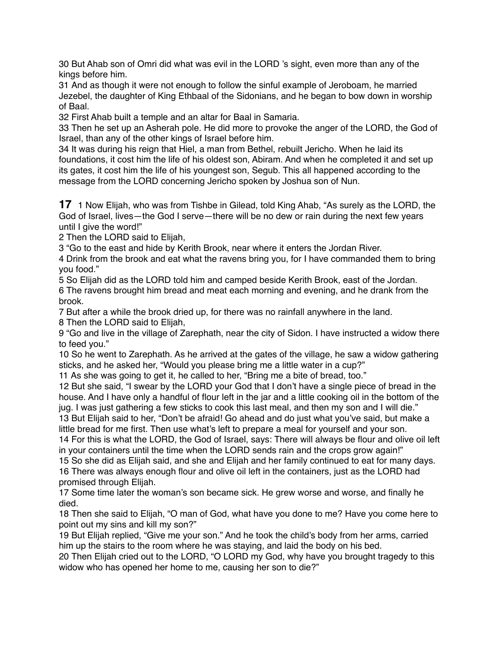30 But Ahab son of Omri did what was evil in the LORD 's sight, even more than any of the kings before him.

31 And as though it were not enough to follow the sinful example of Jeroboam, he married Jezebel, the daughter of King Ethbaal of the Sidonians, and he began to bow down in worship of Baal.

32 First Ahab built a temple and an altar for Baal in Samaria.

33 Then he set up an Asherah pole. He did more to provoke the anger of the LORD, the God of Israel, than any of the other kings of Israel before him.

34 It was during his reign that Hiel, a man from Bethel, rebuilt Jericho. When he laid its foundations, it cost him the life of his oldest son, Abiram. And when he completed it and set up its gates, it cost him the life of his youngest son, Segub. This all happened according to the message from the LORD concerning Jericho spoken by Joshua son of Nun.

**17** 1 Now Elijah, who was from Tishbe in Gilead, told King Ahab, "As surely as the LORD, the God of Israel, lives—the God I serve—there will be no dew or rain during the next few years until I give the word!"

2 Then the LORD said to Elijah,

3 "Go to the east and hide by Kerith Brook, near where it enters the Jordan River.

4 Drink from the brook and eat what the ravens bring you, for I have commanded them to bring you food."

5 So Elijah did as the LORD told him and camped beside Kerith Brook, east of the Jordan. 6 The ravens brought him bread and meat each morning and evening, and he drank from the brook.

7 But after a while the brook dried up, for there was no rainfall anywhere in the land.

8 Then the LORD said to Elijah,

9 "Go and live in the village of Zarephath, near the city of Sidon. I have instructed a widow there to feed you."

10 So he went to Zarephath. As he arrived at the gates of the village, he saw a widow gathering sticks, and he asked her, "Would you please bring me a little water in a cup?"

11 As she was going to get it, he called to her, "Bring me a bite of bread, too."

12 But she said, "I swear by the LORD your God that I don't have a single piece of bread in the house. And I have only a handful of flour left in the jar and a little cooking oil in the bottom of the jug. I was just gathering a few sticks to cook this last meal, and then my son and I will die."

13 But Elijah said to her, "Don't be afraid! Go ahead and do just what you've said, but make a little bread for me first. Then use what's left to prepare a meal for yourself and your son.

14 For this is what the LORD, the God of Israel, says: There will always be flour and olive oil left in your containers until the time when the LORD sends rain and the crops grow again!"

15 So she did as Elijah said, and she and Elijah and her family continued to eat for many days. 16 There was always enough flour and olive oil left in the containers, just as the LORD had promised through Elijah.

17 Some time later the woman's son became sick. He grew worse and worse, and finally he died.

18 Then she said to Elijah, "O man of God, what have you done to me? Have you come here to point out my sins and kill my son?"

19 But Elijah replied, "Give me your son." And he took the child's body from her arms, carried him up the stairs to the room where he was staying, and laid the body on his bed.

20 Then Elijah cried out to the LORD, "O LORD my God, why have you brought tragedy to this widow who has opened her home to me, causing her son to die?"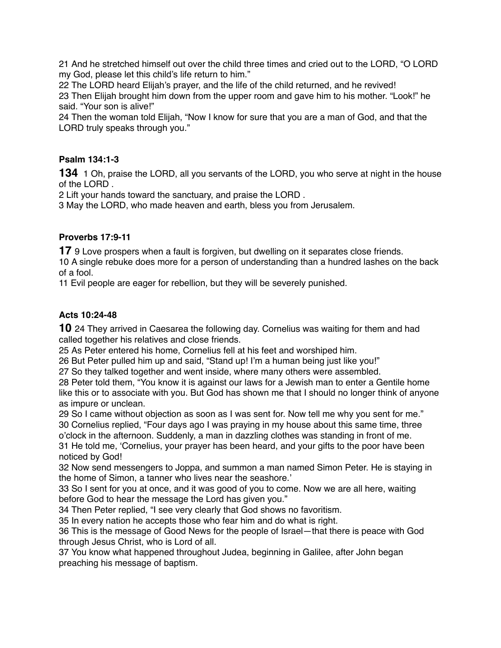21 And he stretched himself out over the child three times and cried out to the LORD, "O LORD my God, please let this child's life return to him."

22 The LORD heard Elijah's prayer, and the life of the child returned, and he revived! 23 Then Elijah brought him down from the upper room and gave him to his mother. "Look!" he said. "Your son is alive!"

24 Then the woman told Elijah, "Now I know for sure that you are a man of God, and that the LORD truly speaks through you."

# **Psalm 134:1-3**

**134** 1 Oh, praise the LORD, all you servants of the LORD, you who serve at night in the house of the LORD .

2 Lift your hands toward the sanctuary, and praise the LORD .

3 May the LORD, who made heaven and earth, bless you from Jerusalem.

# **Proverbs 17:9-11**

**17** 9 Love prospers when a fault is forgiven, but dwelling on it separates close friends. 10 A single rebuke does more for a person of understanding than a hundred lashes on the back of a fool.

11 Evil people are eager for rebellion, but they will be severely punished.

# **Acts 10:24-48**

**10** 24 They arrived in Caesarea the following day. Cornelius was waiting for them and had called together his relatives and close friends.

25 As Peter entered his home, Cornelius fell at his feet and worshiped him.

26 But Peter pulled him up and said, "Stand up! I'm a human being just like you!"

27 So they talked together and went inside, where many others were assembled.

28 Peter told them, "You know it is against our laws for a Jewish man to enter a Gentile home like this or to associate with you. But God has shown me that I should no longer think of anyone as impure or unclean.

29 So I came without objection as soon as I was sent for. Now tell me why you sent for me." 30 Cornelius replied, "Four days ago I was praying in my house about this same time, three o'clock in the afternoon. Suddenly, a man in dazzling clothes was standing in front of me.

31 He told me, 'Cornelius, your prayer has been heard, and your gifts to the poor have been noticed by God!

32 Now send messengers to Joppa, and summon a man named Simon Peter. He is staying in the home of Simon, a tanner who lives near the seashore.'

33 So I sent for you at once, and it was good of you to come. Now we are all here, waiting before God to hear the message the Lord has given you."

34 Then Peter replied, "I see very clearly that God shows no favoritism.

35 In every nation he accepts those who fear him and do what is right.

36 This is the message of Good News for the people of Israel—that there is peace with God through Jesus Christ, who is Lord of all.

37 You know what happened throughout Judea, beginning in Galilee, after John began preaching his message of baptism.